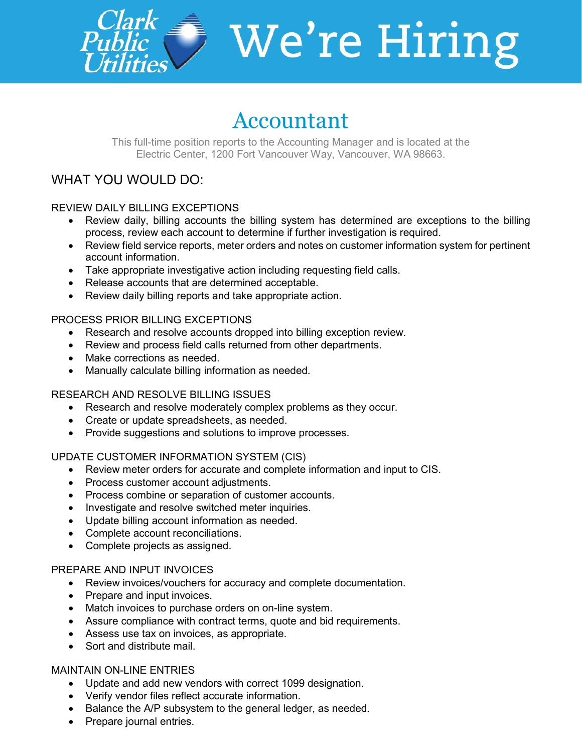

# $\overline{\phantom{a}}$  We're Hiring

# Accountant

This full-time position reports to the Accounting Manager and is located at the Electric Center, 1200 Fort Vancouver Way, Vancouver, WA 98663.

# WHAT YOU WOULD DO:

#### REVIEW DAILY BILLING EXCEPTIONS

- Review daily, billing accounts the billing system has determined are exceptions to the billing process, review each account to determine if further investigation is required.
- Review field service reports, meter orders and notes on customer information system for pertinent account information.
- Take appropriate investigative action including requesting field calls.
- Release accounts that are determined acceptable.
- Review daily billing reports and take appropriate action.

#### PROCESS PRIOR BILLING EXCEPTIONS

- Research and resolve accounts dropped into billing exception review.
- Review and process field calls returned from other departments.
- Make corrections as needed.
- Manually calculate billing information as needed.

#### RESEARCH AND RESOLVE BILLING ISSUES

- Research and resolve moderately complex problems as they occur.
- Create or update spreadsheets, as needed.
- Provide suggestions and solutions to improve processes.

#### UPDATE CUSTOMER INFORMATION SYSTEM (CIS)

- Review meter orders for accurate and complete information and input to CIS.
- Process customer account adjustments.
- Process combine or separation of customer accounts.
- Investigate and resolve switched meter inquiries.
- Update billing account information as needed.
- Complete account reconciliations.
- Complete projects as assigned.

#### PREPARE AND INPUT INVOICES

- Review invoices/vouchers for accuracy and complete documentation.
- Prepare and input invoices.
- Match invoices to purchase orders on on-line system.
- Assure compliance with contract terms, quote and bid requirements.
- Assess use tax on invoices, as appropriate.
- Sort and distribute mail.

#### MAINTAIN ON-LINE ENTRIES

- Update and add new vendors with correct 1099 designation.
- Verify vendor files reflect accurate information.
- Balance the A/P subsystem to the general ledger, as needed.
- Prepare journal entries.